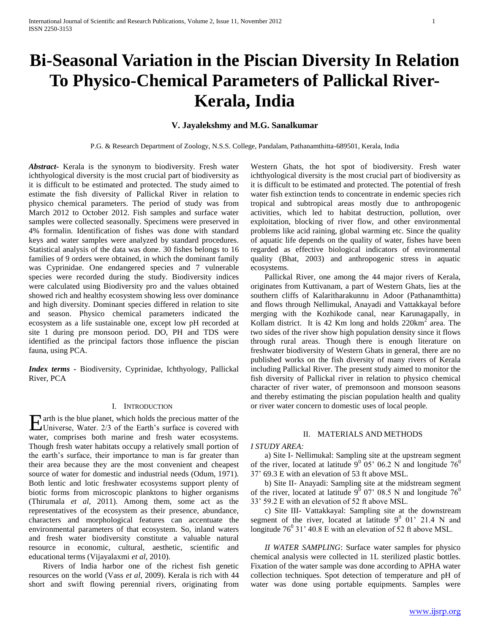# **Bi-Seasonal Variation in the Piscian Diversity In Relation To Physico-Chemical Parameters of Pallickal River-Kerala, India**

# **V. Jayalekshmy and M.G. Sanalkumar**

P.G. & Research Department of Zoology, N.S.S. College, Pandalam, Pathanamthitta-689501, Kerala, India

*Abstract***-** Kerala is the synonym to biodiversity. Fresh water ichthyological diversity is the most crucial part of biodiversity as it is difficult to be estimated and protected. The study aimed to estimate the fish diversity of Pallickal River in relation to physico chemical parameters. The period of study was from March 2012 to October 2012. Fish samples and surface water samples were collected seasonally. Specimens were preserved in 4% formalin. Identification of fishes was done with standard keys and water samples were analyzed by standard procedures. Statistical analysis of the data was done. 30 fishes belongs to 16 families of 9 orders were obtained, in which the dominant family was Cyprinidae. One endangered species and 7 vulnerable species were recorded during the study. Biodiversity indices were calculated using Biodiversity pro and the values obtained showed rich and healthy ecosystem showing less over dominance and high diversity. Dominant species differed in relation to site and season. Physico chemical parameters indicated the ecosystem as a life sustainable one, except low pH recorded at site 1 during pre monsoon period. DO, PH and TDS were identified as the principal factors those influence the piscian fauna, using PCA.

*Index terms -* Biodiversity, Cyprinidae, Ichthyology, Pallickal River, PCA

### I. INTRODUCTION

arth is the blue planet, which holds the precious matter of the  $E$  arth is the blue planet, which holds the precious matter of the Universe, Water.  $2/3$  of the Earth's surface is covered with water, comprises both marine and fresh water ecosystems. Though fresh water habitats occupy a relatively small portion of the earth's surface, their importance to man is far greater than their area because they are the most convenient and cheapest source of water for domestic and industrial needs (Odum, 1971). Both lentic and lotic freshwater ecosystems support plenty of biotic forms from microscopic planktons to higher organisms (Thirumala *et al*, 2011). Among them, some act as the representatives of the ecosystem as their presence, abundance, characters and morphological features can accentuate the environmental parameters of that ecosystem. So, inland waters and fresh water biodiversity constitute a valuable natural resource in economic, cultural, aesthetic, scientific and educational terms (Vijayalaxmi *et al*, 2010).

 Rivers of India harbor one of the richest fish genetic resources on the world (Vass *et al*, 2009). Kerala is rich with 44 short and swift flowing perennial rivers, originating from

Western Ghats, the hot spot of biodiversity. Fresh water ichthyological diversity is the most crucial part of biodiversity as it is difficult to be estimated and protected. The potential of fresh water fish extinction tends to concentrate in endemic species rich tropical and subtropical areas mostly due to anthropogenic activities, which led to habitat destruction, pollution, over exploitation, blocking of river flow, and other environmental problems like acid raining, global warming etc. Since the quality of aquatic life depends on the quality of water, fishes have been regarded as effective biological indicators of environmental quality (Bhat, 2003) and anthropogenic stress in aquatic ecosystems.

 Pallickal River, one among the 44 major rivers of Kerala, originates from Kuttivanam, a part of Western Ghats, lies at the southern cliffs of Kalaritharakunnu in Adoor (Pathanamthitta) and flows through Nellimukal, Anayadi and Vattakkayal before merging with the Kozhikode canal, near Karunagapally, in Kollam district. It is 42 Km long and holds  $220 \text{km}^2$  area. The two sides of the river show high population density since it flows through rural areas. Though there is enough literature on freshwater biodiversity of Western Ghats in general, there are no published works on the fish diversity of many rivers of Kerala including Pallickal River. The present study aimed to monitor the fish diversity of Pallickal river in relation to physico chemical character of river water, of premonsoon and monsoon seasons and thereby estimating the piscian population health and quality or river water concern to domestic uses of local people.

## II. MATERIALS AND METHODS

#### *I STUDY AREA:*

 a) Site I- Nellimukal: Sampling site at the upstream segment of the river, located at latitude  $9^{\circ}$  05' 06.2 N and longitude 76<sup>0</sup> 37' 69.3 E with an elevation of 53 ft above MSL.

 b) Site II- Anayadi: Sampling site at the midstream segment of the river, located at latitude  $9^{\overline{0}}$  07' 08.5 N and longitude 76<sup>0</sup> 33' 59.2 E with an elevation of 52 ft above MSL.

 c) Site III- Vattakkayal: Sampling site at the downstream segment of the river, located at latitude  $9^0$  01' 21.4 N and longitude  $76^{\circ}$  31' 40.8 E with an elevation of 52 ft above MSL.

 *II WATER SAMPLING*: Surface water samples for physico chemical analysis were collected in 1L sterilized plastic bottles. Fixation of the water sample was done according to APHA water collection techniques. Spot detection of temperature and pH of water was done using portable equipments. Samples were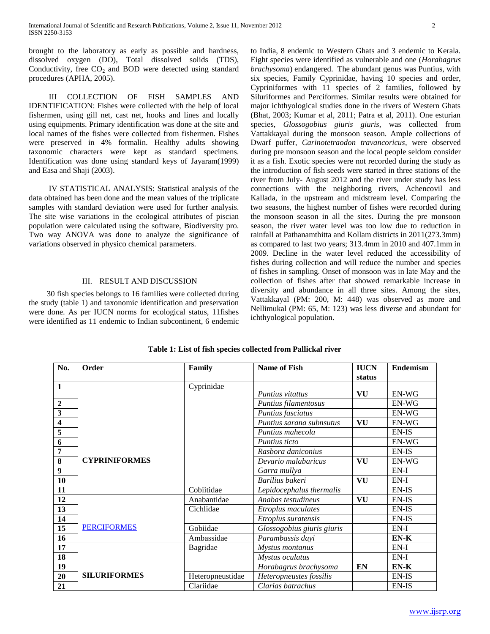brought to the laboratory as early as possible and hardness, dissolved oxygen (DO), Total dissolved solids (TDS), Conductivity, free  $CO<sub>2</sub>$  and BOD were detected using standard procedures (APHA, 2005).

 III COLLECTION OF FISH SAMPLES AND IDENTIFICATION: Fishes were collected with the help of local fishermen, using gill net, cast net, hooks and lines and locally using equipments. Primary identification was done at the site and local names of the fishes were collected from fishermen. Fishes were preserved in 4% formalin. Healthy adults showing taxonomic characters were kept as standard specimens. Identification was done using standard keys of Jayaram(1999) and Easa and Shaji (2003).

 IV STATISTICAL ANALYSIS: Statistical analysis of the data obtained has been done and the mean values of the triplicate samples with standard deviation were used for further analysis. The site wise variations in the ecological attributes of piscian population were calculated using the software, Biodiversity pro. Two way ANOVA was done to analyze the significance of variations observed in physico chemical parameters.

# III. RESULT AND DISCUSSION

 30 fish species belongs to 16 families were collected during the study (table 1) and taxonomic identification and preservation were done. As per IUCN norms for ecological status, 11fishes were identified as 11 endemic to Indian subcontinent, 6 endemic

to India, 8 endemic to Western Ghats and 3 endemic to Kerala. Eight species were identified as vulnerable and one (*Horabagrus brachysoma*) endangered. The abundant genus was Puntius, with six species, Family Cyprinidae, having 10 species and order, Cypriniformes with 11 species of 2 families, followed by Siluriformes and Perciformes. Similar results were obtained for major ichthyological studies done in the rivers of Western Ghats (Bhat, 2003; Kumar et al, 2011; Patra et al, 2011). One esturian species, *Glossogobius giuris giuris*, was collected from Vattakkayal during the monsoon season. Ample collections of Dwarf puffer, *Carinotetraodon travancoricus*, were observed during pre monsoon season and the local people seldom consider it as a fish. Exotic species were not recorded during the study as the introduction of fish seeds were started in three stations of the river from July- August 2012 and the river under study has less connections with the neighboring rivers, Achencovil and Kallada, in the upstream and midstream level. Comparing the two seasons, the highest number of fishes were recorded during the monsoon season in all the sites. During the pre monsoon season, the river water level was too low due to reduction in rainfall at Pathanamthitta and Kollam districts in 2011(273.3mm) as compared to last two years; 313.4mm in 2010 and 407.1mm in 2009. Decline in the water level reduced the accessibility of fishes during collection and will reduce the number and species of fishes in sampling. Onset of monsoon was in late May and the collection of fishes after that showed remarkable increase in diversity and abundance in all three sites. Among the sites, Vattakkayal (PM: 200, M: 448) was observed as more and Nellimukal (PM: 65, M: 123) was less diverse and abundant for ichthyological population.

| No.                     | Order                | Family           | <b>Name of Fish</b>        | <b>IUCN</b> | <b>Endemism</b> |
|-------------------------|----------------------|------------------|----------------------------|-------------|-----------------|
|                         |                      |                  |                            | status      |                 |
| $\overline{1}$          |                      | Cyprinidae       |                            |             |                 |
|                         |                      |                  | <i>Puntius vitattus</i>    | VU          | EN-WG           |
| $\overline{2}$          |                      |                  | Puntius filamentosus       |             | EN-WG           |
| $\overline{\mathbf{3}}$ |                      |                  | Puntius fasciatus          |             | EN-WG           |
| $\overline{\mathbf{4}}$ |                      |                  | Puntius sarana subnsutus   | VU          | EN-WG           |
| $\overline{5}$          |                      |                  | Puntius mahecola           |             | EN-IS           |
| 6                       |                      |                  | Puntius ticto              |             | EN-WG           |
| $\overline{7}$          |                      |                  | Rasbora daniconius         |             | EN-IS           |
| $\overline{\mathbf{8}}$ | <b>CYPRINIFORMES</b> |                  | Devario malabaricus        | VU          | EN-WG           |
| $\boldsymbol{9}$        |                      |                  | Garra mullya               |             | $EN-I$          |
| 10                      |                      |                  | Barilius bakeri            | VU          | $EN-I$          |
| 11                      |                      | Cobiitidae       | Lepidocephalus thermalis   |             | EN-IS           |
| 12                      |                      | Anabantidae      | Anabas testudineus         | VU          | EN-IS           |
| 13                      |                      | Cichlidae        | Etroplus maculates         |             | EN-IS           |
| 14                      |                      |                  | Etroplus suratensis        |             | EN-IS           |
| 15                      | <b>PERCIFORMES</b>   | Gobiidae         | Glossogobius giuris giuris |             | $EN-I$          |
| 16                      |                      | Ambassidae       | Parambassis dayi           |             | $EN-K$          |
| 17                      |                      | Bagridae         | Mystus montanus            |             | $EN-I$          |
| 18                      |                      |                  | Mystus oculatus            |             | $EN-I$          |
| 19                      |                      |                  | Horabagrus brachysoma      | <b>EN</b>   | $EN-K$          |
| 20                      | <b>SILURIFORMES</b>  | Heteropneustidae | Heteropneustes fossilis    |             | EN-IS           |
| 21                      |                      | Clariidae        | Clarias batrachus          |             | EN-IS           |

**Table 1: List of fish species collected from Pallickal river**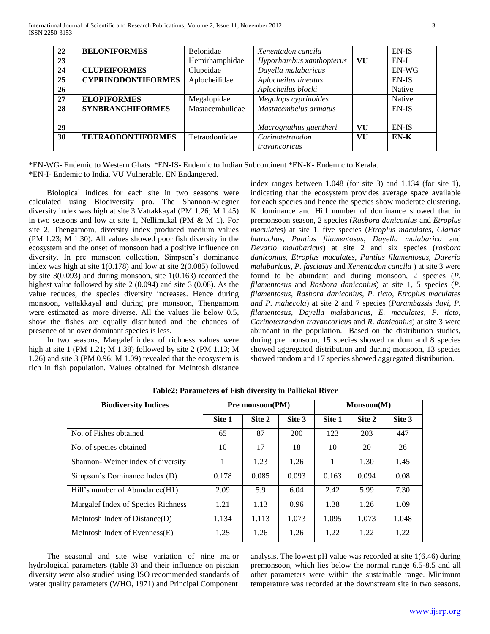| 22        | <b>BELONIFORMES</b>       | <b>Belonidae</b> | Xenentadon cancila       |    | EN-IS  |
|-----------|---------------------------|------------------|--------------------------|----|--------|
| 23        |                           | Hemirhamphidae   | Hyporhambus xanthopterus | VU | $EN-I$ |
| 24        | <b>CLUPEIFORMES</b>       | Clupeidae        | Dayella malabaricus      |    | EN-WG  |
| 25        | <b>CYPRINODONTIFORMES</b> | Aplocheilidae    | Aplocheilus lineatus     |    | EN-IS  |
| <b>26</b> |                           |                  | Aplocheilus blocki       |    | Native |
| 27        | <b>ELOPIFORMES</b>        | Megalopidae      | Megalops cyprinoides     |    | Native |
| 28        | <b>SYNBRANCHIFORMES</b>   | Mastacembulidae  | Mastacembelus armatus    |    | EN-IS  |
|           |                           |                  |                          |    |        |
| 29        |                           |                  | Macrognathus guentheri   | VU | EN-IS  |
| 30        | <b>TETRAODONTIFORMES</b>  | Tetraodontidae   | Carinotetraodon          | VU | EN-K   |
|           |                           |                  | travancoricus            |    |        |

\*EN-WG- Endemic to Western Ghats \*EN-IS- Endemic to Indian Subcontinent \*EN-K- Endemic to Kerala. \*EN-I- Endemic to India. VU Vulnerable. EN Endangered.

 Biological indices for each site in two seasons were calculated using Biodiversity pro. The Shannon-wiegner diversity index was high at site 3 Vattakkayal (PM 1.26; M 1.45) in two seasons and low at site 1, Nellimukal (PM & M 1). For site 2, Thengamom, diversity index produced medium values (PM 1.23; M 1.30). All values showed poor fish diversity in the ecosystem and the onset of monsoon had a positive influence on diversity. In pre monsoon collection, Simpson's dominance index was high at site 1(0.178) and low at site 2(0.085) followed by site 3(0.093) and during monsoon, site 1(0.163) recorded the highest value followed by site 2 (0.094) and site 3 (0.08). As the value reduces, the species diversity increases. Hence during monsoon, vattakkayal and during pre monsoon, Thengamom were estimated as more diverse. All the values lie below 0.5, show the fishes are equally distributed and the chances of presence of an over dominant species is less.

 In two seasons, Margalef index of richness values were high at site 1 (PM 1.21; M 1.38) followed by site 2 (PM 1.13; M 1.26) and site 3 (PM 0.96; M 1.09) revealed that the ecosystem is rich in fish population. Values obtained for McIntosh distance index ranges between 1.048 (for site 3) and 1.134 (for site 1), indicating that the ecosystem provides average space available for each species and hence the species show moderate clustering. K dominance and Hill number of dominance showed that in premonsoon season, 2 species (*Rasbora daniconius* and *Etroplus maculates*) at site 1, five species (*Etroplus maculates, Clarias batrachus, Puntius filamentosus, Dayella malabarica* and *Devario malabaricus*) at site 2 and six species (*rasbora daniconius, Etroplus maculates, Puntius filamentosus, Daverio malabaricus, P. fasciatus* and *Xenentadon cancila* ) at site 3 were found to be abundant and during monsoon, 2 species (*P. filamentosus* and *Rasbora daniconius*) at site 1, 5 species (*P. filamentosus*, *Rasbora daniconius, P. ticto, Etroplus maculates and P. mahecola*) at site 2 and 7 species (*Parambassis dayi, P. filamentosus, Dayella malabaricus, E. maculates, P. ticto, Carinotetraodon travancoricus* and *R. daniconius*) at site 3 were abundant in the population. Based on the distribution studies, during pre monsoon, 15 species showed random and 8 species showed aggregated distribution and during monsoon, 13 species showed random and 17 species showed aggregated distribution.

| <b>Biodiversity Indices</b>        | <b>Pre monsoon(PM)</b> |        | Monsoon(M) |        |        |        |
|------------------------------------|------------------------|--------|------------|--------|--------|--------|
|                                    | Site 1                 | Site 2 | Site 3     | Site 1 | Site 2 | Site 3 |
| No. of Fishes obtained             | 65                     | 87     | 200        | 123    | 203    | 447    |
| No. of species obtained            | 10                     | 17     | 18         | 10     | 20     | 26     |
| Shannon-Weiner index of diversity  |                        | 1.23   | 1.26       | 1      | 1.30   | 1.45   |
| Simpson's Dominance Index (D)      | 0.178                  | 0.085  | 0.093      | 0.163  | 0.094  | 0.08   |
| Hill's number of Abundance(H1)     | 2.09                   | 5.9    | 6.04       | 2.42   | 5.99   | 7.30   |
| Margalef Index of Species Richness | 1.21                   | 1.13   | 0.96       | 1.38   | 1.26   | 1.09   |
| McIntosh Index of Distance $(D)$   | 1.134                  | 1.113  | 1.073      | 1.095  | 1.073  | 1.048  |
| McIntosh Index of Evenness $(E)$   | 1.25                   | 1.26   | 1.26       | 1.22   | 1.22.  | 1.22   |

**Table2: Parameters of Fish diversity in Pallickal River**

 The seasonal and site wise variation of nine major hydrological parameters (table 3) and their influence on piscian diversity were also studied using ISO recommended standards of water quality parameters (WHO, 1971) and Principal Component

analysis. The lowest pH value was recorded at site 1(6.46) during premonsoon, which lies below the normal range 6.5-8.5 and all other parameters were within the sustainable range. Minimum temperature was recorded at the downstream site in two seasons.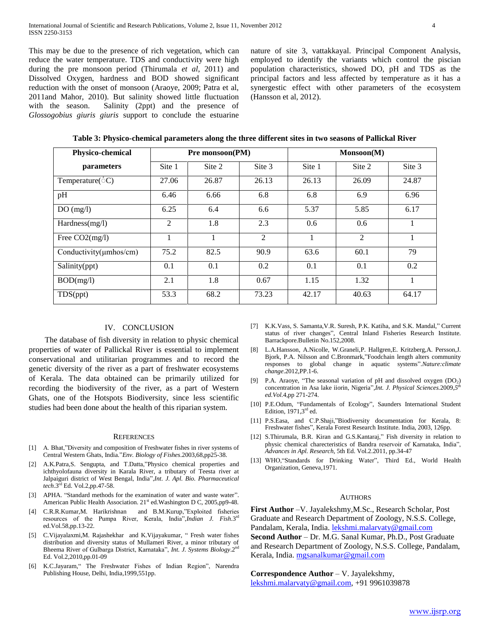This may be due to the presence of rich vegetation, which can reduce the water temperature. TDS and conductivity were high during the pre monsoon period (Thirumala *et al*, 2011) and Dissolved Oxygen, hardness and BOD showed significant reduction with the onset of monsoon (Araoye, 2009; Patra et al, 2011and Mahor, 2010). But salinity showed little fluctuation with the season. Salinity (2ppt) and the presence of *Glossogobius giuris giuris* support to conclude the estuarine

nature of site 3, vattakkayal. Principal Component Analysis, employed to identify the variants which control the piscian population characteristics, showed DO, pH and TDS as the principal factors and less affected by temperature as it has a synergestic effect with other parameters of the ecosystem (Hansson et al, 2012).

| <b>Physico-chemical</b>      | Pre monsoon(PM) |        |        | Monsoon(M) |        |        |
|------------------------------|-----------------|--------|--------|------------|--------|--------|
| parameters                   | Site 1          | Site 2 | Site 3 | Site 1     | Site 2 | Site 3 |
| Temperature( $\circ$ C)      | 27.06           | 26.87  | 26.13  | 26.13      | 26.09  | 24.87  |
| pH                           | 6.46            | 6.66   | 6.8    | 6.8        | 6.9    | 6.96   |
| DO(mg/l)                     | 6.25            | 6.4    | 6.6    | 5.37       | 5.85   | 6.17   |
| Hardness(mg/l)               | $\overline{2}$  | 1.8    | 2.3    | 0.6        | 0.6    |        |
| Free CO2(mg/l)               | 1               |        | 2      | 1          | 2      |        |
| Conductivity( $\mu$ mhos/cm) | 75.2            | 82.5   | 90.9   | 63.6       | 60.1   | 79     |
| Salinity(ppt)                | 0.1             | 0.1    | 0.2    | 0.1        | 0.1    | 0.2    |
| BOD(mg/l)                    | 2.1             | 1.8    | 0.67   | 1.15       | 1.32   |        |
| TDS(ppt)                     | 53.3            | 68.2   | 73.23  | 42.17      | 40.63  | 64.17  |

**Table 3: Physico-chemical parameters along the three different sites in two seasons of Pallickal River**

## IV. CONCLUSION

 The database of fish diversity in relation to physic chemical properties of water of Pallickal River is essential to implement conservational and utilitarian programmes and to record the genetic diversity of the river as a part of freshwater ecosystems of Kerala. The data obtained can be primarily utilized for recording the biodiversity of the river, as a part of Western Ghats, one of the Hotspots Biodiversity, since less scientific studies had been done about the health of this riparian system.

#### **REFERENCES**

- [1] A. Bhat,"Diversity and composition of Freshwater fishes in river systems of Central Western Ghats, India."*Env. Biology of Fishes*.2003,68,pp25-38.
- [2] A.K.Patra,S. Sengupta, and T.Datta,"Physico chemical properties and ichthyolofauna diversity in Karala River, a tributary of Teesta river at Jalpaiguri district of West Bengal, India",*Int. J. Apl. Bio. Pharmaceutical tech*.3 rd Ed. Vol.2,pp.47-58.
- [3] APHA. "Standard methods for the examination of water and waste water". American Public Health Association.  $21<sup>st</sup>$  ed. Washington D C, 2005,pp9-48.
- [4] C.R.R.Kumar,M. Harikrishnan and B.M.Kurup,"Exploited fisheries resources of the Pumpa River, Kerala, India", *Indian J. Fish*.3<sup>rd</sup> ed.Vol.58,pp.13-22.
- [5] C.Vijayalaxmi,M. Rajashekhar and K.Vijayakumar, " Fresh water fishes distribution and diversity status of Mullameri River, a minor tributary of Bheema River of Gulbarga District, Karnataka", *Int. J. Systems Biology*.2 nd Ed. Vol.2,2010,pp.01-09
- [6] K.C.Jayaram," The Freshwater Fishes of Indian Region", Narendra Publishing House, Delhi, India,1999,551pp.
- [7] K.K.Vass, S. Samanta,V.R. Suresh, P.K. Katiha, and S.K. Mandal," Current status of river changes", Central Inland Fisheries Research Institute. Barrackpore.Bulletin No.152,2008.
- [8] L.A.Hansson, A.Nicolle, W.Graneli,P. Hallgren,E. Kritzberg,A. Persson,J. Bjork, P.A. Nilsson and C.Bronmark,"Foodchain length alters community responses to global change in aquatic systems".*Nature:climate change*.2012,PP.1-6.
- [9] P.A. Araoye, "The seasonal variation of pH and dissolved oxygen (DO<sub>2</sub>) concentration in Asa lake iiorin, Nigeria"*,Int. J. Physical Sciences.*2009,*5 th ed.Vol.*4,pp 271-274.
- [10] P.E.Odum, "Fundamentals of Ecology", Saunders International Student Edition,  $1971,3<sup>rd</sup>$  ed.
- [11] P.S.Easa, and C.P.Shaji,"Biodiversity documentation for Kerala, 8: Freshwater fishes", Kerala Forest Research Institute. India, 2003, 126pp.
- [12] S.Thirumala, B.R. Kiran and G.S.Kantaraj," Fish diversity in relation to physic chemical charecteristics of Bandra reservoir of Karnataka, India", *Advances in Apl. Research*, 5th Ed. Vol.2.2011, pp.34-47
- [13] WHO, "Standards for Drinking Water", Third Ed., World Health Organization, Geneva,1971.

#### **AUTHORS**

**First Author** –V. Jayalekshmy,M.Sc., Research Scholar, Post Graduate and Research Department of Zoology, N.S.S. College, Pandalam, Kerala, India. [lekshmi.malarvaty@gmail.com](mailto:lekshmi.malarvaty@gmail.com)

**Second Author** – Dr. M.G. Sanal Kumar, Ph.D., Post Graduate and Research Department of Zoology, N.S.S. College, Pandalam, Kerala, India. [mgsanalkumar@gmail.com](mailto:mgsanalkumar@gmail.com)

**Correspondence Author** – V. Jayalekshmy, [lekshmi.malarvaty@gmail.com,](mailto:lekshmi.malarvaty@gmail.com) +91 9961039878